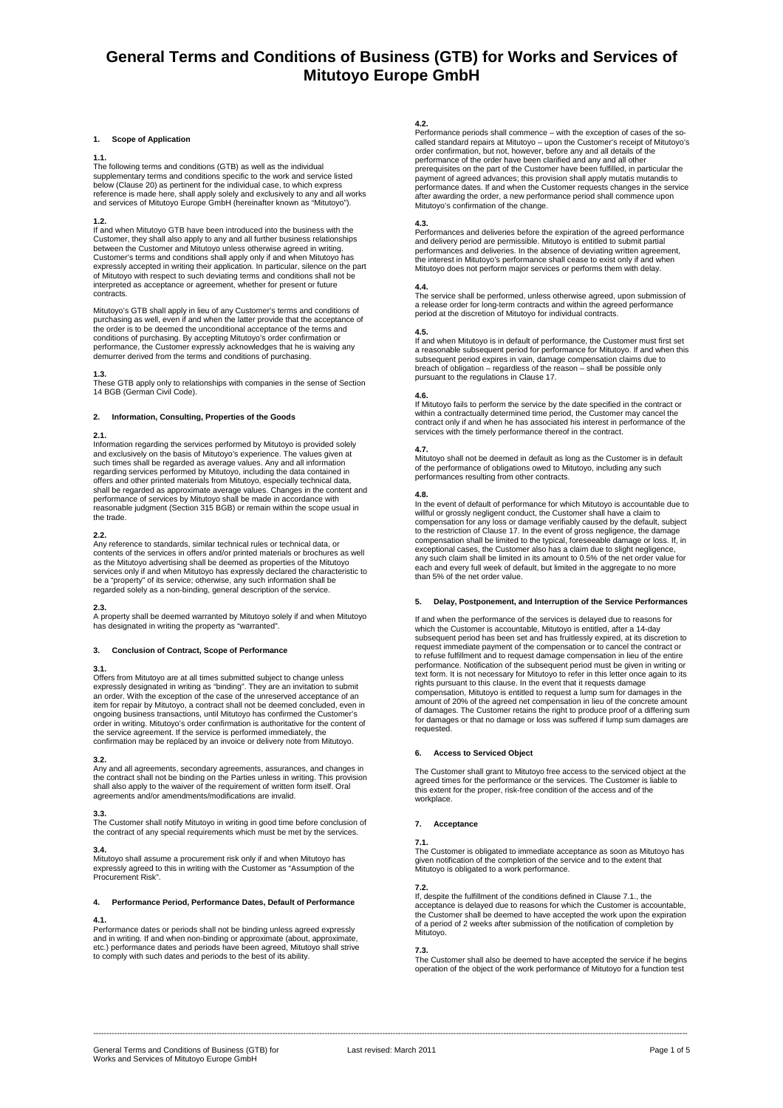### **1. Scope of Application**

#### **1.1.**

The following terms and conditions (GTB) as well as the individual supplementary terms and conditions specific to the work and service listed below (Clause 20) as pertinent for the individual case, to which express reference is made here, shall apply solely and exclusively to any and all works and services of Mitutoyo Europe GmbH (hereinafter known as "Mitutoyo").

**1.2.**  If and when Mitutoyo GTB have been introduced into the business with the Customer, they shall also apply to any and all further business relationships between the Customer and Mitutoyo unless otherwise agreed in writing. Customer's terms and conditions shall apply only if and when Mitutoyo has expressly accepted in writing their application. In particular, silence on the part of Mitutoyo with respect to such deviating terms and conditions shall not be interpreted as acceptance or agreement, whether for present or future contracts.

Mitutoyo's GTB shall apply in lieu of any Customer's terms and conditions of purchasing as well, even if and when the latter provide that the acceptance of the order is to be deemed the unconditional acceptance of the terms and conditions of purchasing. By accepting Mitutoyo's order confirmation or performance, the Customer expressly acknowledges that he is waiving any demurrer derived from the terms and conditions of purchasing.

**1.3.**  These GTB apply only to relationships with companies in the sense of Section 14 BGB (German Civil Code).

### **2. Information, Consulting, Properties of the Goods**

**2.1.**  Information regarding the services performed by Mitutoyo is provided solely and exclusively on the basis of Mitutoyo's experience. The values given at such times shall be regarded as average values. Any and all information regarding services performed by Mitutoyo, including the data contained in offers and other printed materials from Mitutoyo, especially technical data, shall be regarded as approximate average values. Changes in the content and performance of services by Mitutoyo shall be made in accordance with reasonable judgment (Section 315 BGB) or remain within the scope usual in the trade.

**2.2.**  Any reference to standards, similar technical rules or technical data, or contents of the services in offers and/or printed materials or brochures as well<br>as the Mitutoyo advertising shall be deemed as properties of the Mitutoyo<br>services only if and when Mitutoyo has expressly declared the chara regarded solely as a non-binding, general description of the service.

### **2.3.**

A property shall be deemed warranted by Mitutoyo solely if and when Mitutoyo has designated in writing the property as "warranted".

### **3. Conclusion of Contract, Scope of Performance**

### **3.1.**

Offers from Mitutoyo are at all times submitted subject to change unless expressly designated in writing as "binding". They are an invitation to submit an order. With the exception of the case of the unreserved acceptance of an item for repair by Mitutoyo, a contract shall not be deemed concluded, even in ongoing business transactions, until Mitutoyo has confirmed the Customer's order in writing. Mitutoyo's order confirmation is authoritative for the content of the service agreement. If the service is performed immediately, the confirmation may be replaced by an invoice or delivery note from Mitutoyo.

**3.2.**  Any and all agreements, secondary agreements, assurances, and changes in the contract shall not be binding on the Parties unless in writing. This provision shall also apply to the waiver of the requirement of written form itself. Oral agreements and/or amendments/modifications are invalid.

### **3.3.**

The Customer shall notify Mitutoyo in writing in good time before conclusion of the contract of any special requirements which must be met by the services.

## **3.4.**

Mitutoyo shall assume a procurement risk only if and when Mitutoyo has expressly agreed to this in writing with the Customer as "Assumption of the Procurement Risk".

## **4. Performance Period, Performance Dates, Default of Performance**

## **4.1.**

Performance dates or periods shall not be binding unless agreed expressly and in writing. If and when non-binding or approximate (about, approximate, etc.) performance dates and periods have been agreed, Mitutoyo shall strive to comply with such dates and periods to the best of its ability.

#### **4.2.**

Performance periods shall commence – with the exception of cases of the socalled standard repairs at Mitutoyo – upon the Customer's receipt of Mitutoyo's order confirmation, but not, however, before any and all details of the performance of the order have been clarified and any and all other prerequisites on the part of the Customer have been fulfilled, in particular the payment of agreed advances; this provision shall apply mutatis mutandis to<br>performance dates. If and when the Customer requests changes in the service<br>after awarding the order, a new performance period shall commence upon Mitutoyo's confirmation of the change.

## **4.3.**

Performances and deliveries before the expiration of the agreed performance and delivery period are permissible. Mitutoyo is entitled to submit partial<br>performances and deliveries. In the absence of deviating written agreement,<br>the interest in Mitutoyo's performance shall cease to exist only if an Mitutoyo does not perform major services or performs them with delay.

**4.4.**  The service shall be performed, unless otherwise agreed, upon submission of a release order for long-term contracts and within the agreed performance period at the discretion of Mitutoyo for individual contracts.

**4.5.**  If and when Mitutoyo is in default of performance, the Customer must first set a reasonable subsequent period for performance for Mitutoyo. If and when this subsequent period expires in vain, damage compensation claims due to breach of obligation – regardless of the reason – shall be possible only pursuant to the regulations in Clause 17.

**4.6.**<br>If Mitutoyo fails to perform the service by the date specified in the contract or<br>within a contractually determined time period, the Customer may cancel the<br>contract only if and when he has associated his interest i services with the timely performance thereof in the contract.

**4.7.**  Mitutoyo shall not be deemed in default as long as the Customer is in default of the performance of obligations owed to Mitutoyo, including any such performances resulting from other contracts.

#### **4.8.**

In the event of default of performance for which Mitutoyo is accountable due to<br>willful or grossly negligent conduct, the Customer shall have a claim to<br>compensation for any loss or damage verifiably caused by the default, exceptional cases, the Customer also has a claim due to slight negligence, any such claim shall be limited in its amount to 0.5% of the net order value for each and every full week of default, but limited in the aggregate to no more than 5% of the net order value.

## **5. Delay, Postponement, and Interruption of the Service Performances**

If and when the performance of the services is delayed due to reasons for which the Customer is accountable, Mitutoyo is entitled, after a 14-day subsequent period has been set and has fruitlessly expired, at its discretion to request immediate payment of the compensation or to cancel the contract or to refuse fulfillment and to request damage compensation in lieu of the entire performance. Notification of the subsequent period must be given in writing or text form. It is not necessary for Mitutoyo to refer in this letter once again to its rights pursuant to this clause. In the event that it requests damage compensation, Mitutoyo is entitled to request a lump sum for damages in the<br>amount of 20% of the agreed net compensation in lieu of the concrete amount<br>of damages. The Customer retains the right to produce proof of a diffe

## **6. Access to Serviced Object**

The Customer shall grant to Mitutoyo free access to the serviced object at the agreed times for the performance or the services. The Customer is liable to this extent for the proper, risk-free condition of the access and of the workplace.

## **7. Acceptance**

**7.1.**  The Customer is obligated to immediate acceptance as soon as Mitutoyo has given notification of the completion of the service and to the extent that Mitutoyo is obligated to a work performance.

**7.2.**  If, despite the fulfillment of the conditions defined in Clause 7.1., the acceptance is delayed due to reasons for which the Customer is accountable, the Customer shall be deemed to have accepted the work upon the expiration of a period of 2 weeks after submission of the notification of completion by Mitutoyo.

**7.3.**<br>The Customer shall also be deemed to have accepted the service if he begins<br>operation of the object of the work performance of Mitutoyo for a function test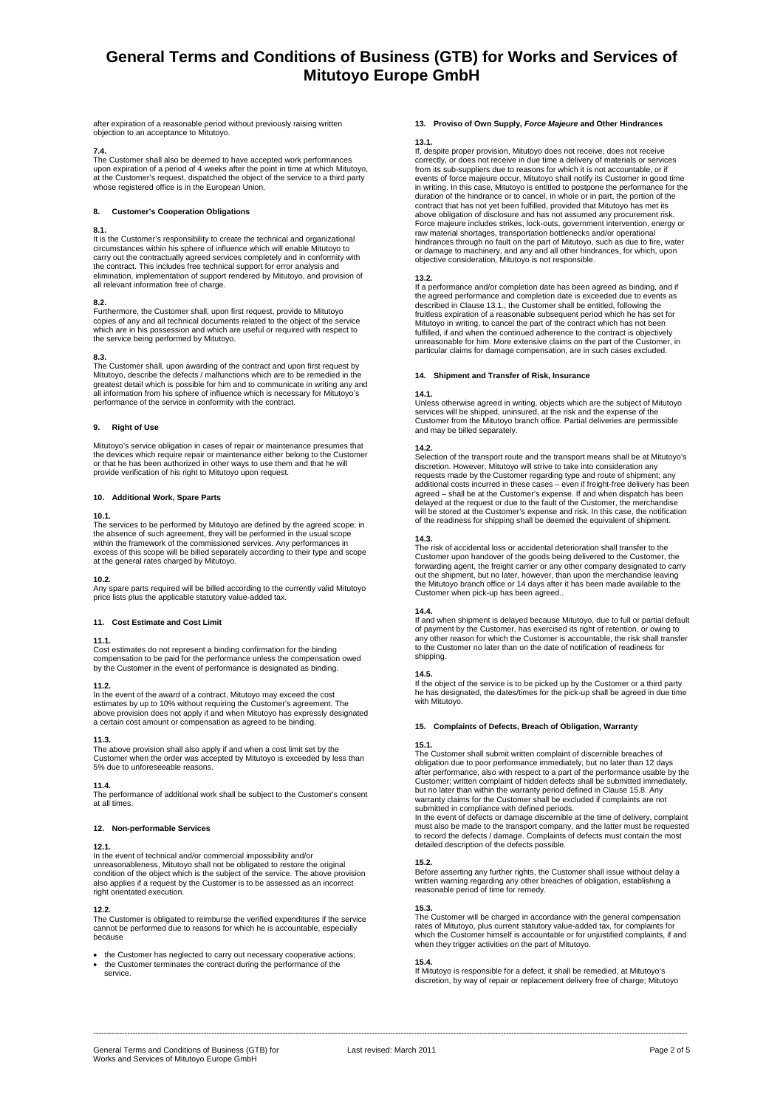after expiration of a reasonable period without previously raising written objection to an acceptance to Mitutoyo.

**7.4.**  The Customer shall also be deemed to have accepted work performances upon expiration of a period of 4 weeks after the point in time at which Mitutoyo, at the Customer's request, dispatched the object of the service to a third party whose registered office is in the European Union.

#### **8. Customer's Cooperation Obligations**

## **8.1.**

It is the Customer's responsibility to create the technical and organizational circumstances within his sphere of influence which will enable Mitutoyo to carry out the contractually agreed services completely and in conformity with the contract. This includes free technical support for error analysis and elimination, implementation of support rendered by Mitutoyo, and provision of all relevant information free of charge.

**8.2.**  Furthermore, the Customer shall, upon first request, provide to Mitutoyo copies of any and all technical documents related to the object of the service which are in his possession and which are useful or required with respect to the service being performed by Mitutoyo.

## **8.3.**

The Customer shall, upon awarding of the contract and upon first request by Mitutoyo, describe the defects / malfunctions which are to be remedied in the greatest detail which is possible for him and to communicate in writing any and all information from his sphere of influence which is necessary for Mitutoyo's performance of the service in conformity with the contract.

## **9. Right of Use**

Mitutoyo's service obligation in cases of repair or maintenance presumes that the devices which require repair or maintenance either belong to the Customer or that he has been authorized in other ways to use them and that he will provide verification of his right to Mitutoyo upon request.

### **10. Additional Work, Spare Parts**

### **10.1.**

The services to be performed by Mitutoyo are defined by the agreed scope; in the absence of such agreement, they will be performed in the usual scope within the framework of the commissioned services. Any performances in excess of this scope will be billed separately according to their type and scope at the general rates charged by Mitutoyo.

### **10.2.**

Any spare parts required will be billed according to the currently valid Mitutoyo price lists plus the applicable statutory value-added tax.

### **11. Cost Estimate and Cost Limit**

### **11.1.**

Cost estimates do not represent a binding confirmation for the binding compensation to be paid for the performance unless the compensation owed by the Customer in the event of performance is designated as binding.

### **11.2.**

In the event of the award of a contract, Mitutoyo may exceed the cost estimates by up to 10% without requiring the Customer's agreement. The above provision does not apply if and when Mitutoyo has expressly designated a certain cost amount or compensation as agreed to be binding.

## **11.3.**

The above provision shall also apply if and when a cost limit set by the Customer when the order was accepted by Mitutoyo is exceeded by less than 5% due to unforeseeable reasons.

### **11.4.**

The performance of additional work shall be subject to the Customer's consent at all times.

## **12. Non-performable Services**

### **12.1.**

In the event of technical and/or commercial impossibility and/or unreasonableness, Mitutoyo shall not be obligated to restore the original condition of the object which is the subject of the service. The above provision also applies if a request by the Customer is to be assessed as an incorrect right orientated execution.

## **12.2.**

The Customer is obligated to reimburse the verified expenditures if the service cannot be performed due to reasons for which he is accountable, especially because

• the Customer has neglected to carry out necessary cooperative actions; • the Customer terminates the contract during the performance of the service.

# **13. Proviso of Own Supply,** *Force Majeure* **and Other Hindrances**

#### **13.1.**

If, despite proper provision, Mitutoyo does not receive, does not receive correctly, or does not receive in due time a delivery of materials or services from its sub-suppliers due to reasons for which it is not accountable, or if events of force majeure occur, Mitutoyo shall notify its Customer in good time in writing. In this case, Mitutoyo is entitled to postpone the performance for the<br>duration of the hindrance or to cancel, in whole or in part, the portion of the<br>contract that has not yet been fulfilled, provided that Mit Force majeure includes strikes, lock-outs, government intervention, energy or raw material shortages, transportation bottlenecks and/or operational hindrances through no fault on the part of Mitutoyo, such as due to fire, water or damage to machinery, and any and all other hindrances, for which, upon objective consideration, Mitutoyo is not responsible.

#### **13.2.**

If a performance and/or completion date has been agreed as binding, and if the agreed performance and completion date is exceeded due to events as described in Clause 13.1., the Customer shall be entitled, following the fruitless expiration of a reasonable subsequent period which he has set for Mitutoyo in writing, to cancel the part of the contract which has not been fulfilled, if and when the continued adherence to the contract is objectively unreasonable for him. More extensive claims on the part of the Customer, in particular claims for damage compensation, are in such cases excluded.

## **14. Shipment and Transfer of Risk, Insurance**

#### **14.1.**

Unless otherwise agreed in writing, objects which are the subject of Mitutoyo services will be shipped, uninsured, at the risk and the expense of the Customer from the Mitutoyo branch office. Partial deliveries are permissible and may be billed separately.

#### **14.2.**

Selection of the transport route and the transport means shall be at Mitutoyo's discretion. However, Mitutoyo will strive to take into consideration any requests made by the Customer regarding type and route of shipment; any additional costs incurred in these cases – even if freight-free delivery has been agreed – shall be at the Customer's expense. If and when dispatch has been delayed at the request or due to the fault of the Customer, the merchandise will be stored at the Customer's expense and risk. In this case, the notification of the readiness for shipping shall be deemed the equivalent of shipment.

**14.3.**  The risk of accidental loss or accidental deterioration shall transfer to the Customer upon handover of the goods being delivered to the Customer, the forwarding agent, the freight carrier or any other company designated to carry out the shipment, but no later, however, than upon the merchandise leaving the Mitutoyo branch office or 14 days after it has been made available to the Customer when pick-up has been agreed..

## **14.4.**

If and when shipment is delayed because Mitutoyo, due to full or partial default of payment by the Customer, has exercised its right of retention, or owing to<br>any other reason for which the Customer is accountable, the risk shall transfer<br>to the Customer no later than on the date of notification of rea shipping.

**14.5.**  If the object of the service is to be picked up by the Customer or a third party he has designated, the dates/times for the pick-up shall be agreed in due time with Mitutoyo.

### **15. Complaints of Defects, Breach of Obligation, Warranty**

**15.1.**<br>The Customer shall submit written complaint of discernible breaches of obligation due to poor performance immediately, but no later than 12 days after performance, also with respect to a part of the performance usable by the Customer; written complaint of hidden defects shall be submitted immediately, but no later than within the warranty period defined in Clause 15.8. Any warranty claims for the Customer shall be excluded if complaints are not submitted in compliance with defined periods.

In the event of defects or damage discernible at the time of delivery, complaint<br>must also be made to the transport company, and the latter must be requested<br>to record the defects / damage. Complaints of defects must conta

## **15.2.**

Before asserting any further rights, the Customer shall issue without delay a written warning regarding any other breaches of obligation, establishing a reasonable period of time for remedy.

**15.3.**<br>The Customer will be charged in accordance with the general compensation rates of Mitutoyo, plus current statutory value-added tax, for complaints for which the Customer himself is accountable or for unjustified complaints, if and when they trigger activities on the part of Mitutoyo.

### **15.4.**

If Mitutoyo is responsible for a defect, it shall be remedied, at Mitutoyo's discretion, by way of repair or replacement delivery free of charge; Mitutoyo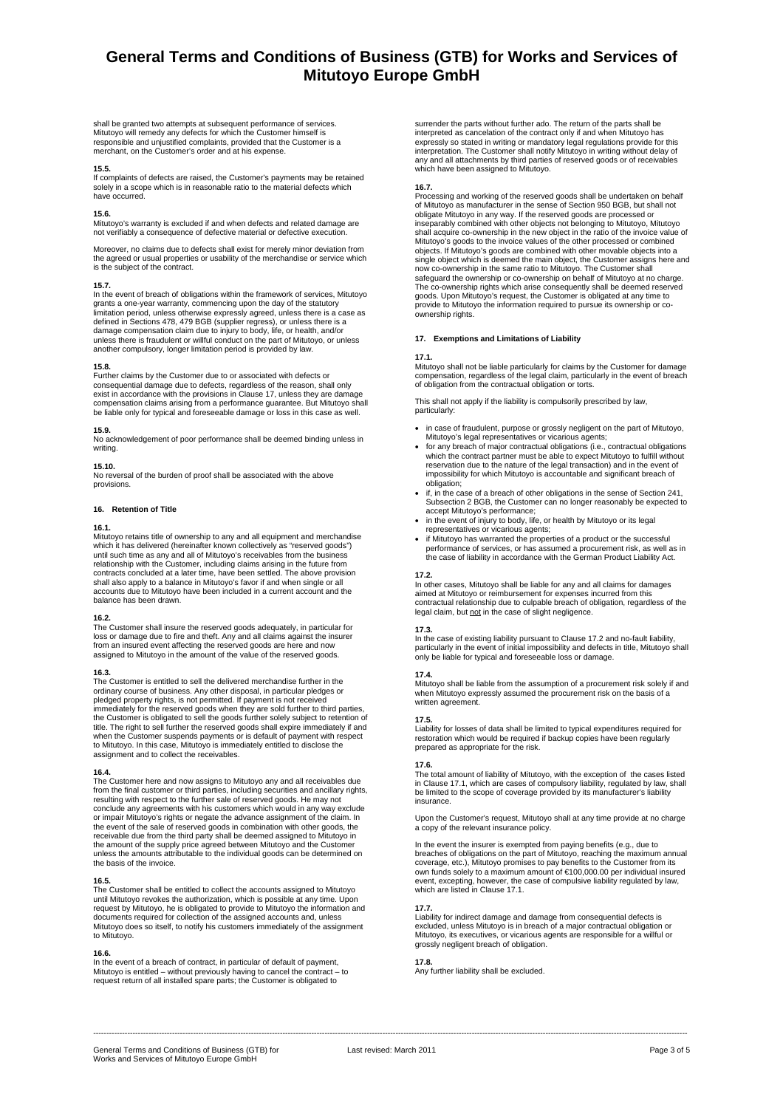shall be granted two attempts at subsequent performance of services. Mitutoyo will remedy any defects for which the Customer himself is responsible and unjustified complaints, provided that the Customer is a merchant, on the Customer's order and at his expense.

**15.5.**<br>If complaints of defects are raised, the Customer's payments may be retained solely in a scope which is in reasonable ratio to the material defects which have occurred.

**15.6.**<br>Mitutoyo's warranty is excluded if and when defects and related damage are not verifiably a consequence of defective material or defective execution.

Moreover, no claims due to defects shall exist for merely minor deviation from the agreed or usual properties or usability of the merchandise or service which is the subject of the contract.

#### **15.7.**

In the event of breach of obligations within the framework of services, Mitutoyo grants a one-year warranty, commencing upon the day of the statutory<br>limitation period, unless otherwise expressly agreed, unless there is a case as<br>defined in Sections 478, 479 BGB (supplier regress), or unless there is a damage compensation claim due to injury to body, life, or health, and/or unless there is fraudulent or willful conduct on the part of Mitutoyo, or unless another compulsory, longer limitation period is provided by law.

### **15.8.**

Further claims by the Customer due to or associated with defects or consequential damage due to defects, regardless of the reason, shall only exist in accordance with the provisions in Clause 17, unless they are damage<br>compensation claims arising from a performance guarantee. But Mitutoyo shall<br>be liable only for typical and foreseeable damage or loss in this ca

#### **15.9.**

No acknowledgement of poor performance shall be deemed binding unless in writing

#### **15.10.**

No reversal of the burden of proof shall be associated with the above provisions.

## **16. Retention of Title**

#### **16.1.**

Mitutoyo retains title of ownership to any and all equipment and merchandise which it has delivered (hereinafter known collectively as "reserved goods") until such time as any and all of Mitutoyo's receivables from the business relationship with the Customer, including claims arising in the future from contracts concluded at a later time, have been settled. The above provision shall also apply to a balance in Mitutoyo's favor if and when single or all accounts due to Mitutoyo have been included in a current account and the balance has been drawn.

#### **16.2.**

The Customer shall insure the reserved goods adequately, in particular for loss or damage due to fire and theft. Any and all claims against the insurer from an insured event affecting the reserved goods are here and now assigned to Mitutoyo in the amount of the value of the reserved goods.

#### **16.3.**

The Customer is entitled to sell the delivered merchandise further in the ordinary course of business. Any other disposal, in particular pledges or pledged property rights, is not permitted. If payment is not received immediately for the reserved goods when they are sold further to third parties, the Customer is obligated to sell the goods further solely subject to retention of title. The right to sell further the reserved goods shall expire immediately if and when the Customer suspends payments or is default of payment with respect to Mitutoyo. In this case, Mitutoyo is immediately entitled to disclose the assignment and to collect the receivables.

#### **16.4.**

The Customer here and now assigns to Mitutoyo any and all receivables due from the final customer or third parties, including securities and ancillary rights, resulting with respect to the further sale of reserved goods. He may not conclude any agreements with his customers which would in any way exclude or impair Mitutoyo's rights or negate the advance assignment of the claim. In<br>the event of the sale of reserved goods in combination with other goods, the<br>receivable due from the third party shall be deemed assigned to Mit the amount of the supply price agreed between Mitutoyo and the Customer unless the amounts attributable to the individual goods can be determined on the basis of the invoice.

#### **16.5.**

The Customer shall be entitled to collect the accounts assigned to Mitutoyo until Mitutoyo revokes the authorization, which is possible at any time. Upon request by Mitutoyo, he is obligated to provide to Mitutoyo the information and documents required for collection of the assigned accounts and, unless Mitutoyo does so itself, to notify his customers immediately of the assignment to Mitutoyo.

### **16.6.**

In the event of a breach of contract, in particular of default of payment, Mitutoyo is entitled – without previously having to cancel the contract – to request return of all installed spare parts; the Customer is obligated to

surrender the parts without further ado. The return of the parts shall be interpreted as cancelation of the contract only if and when Mitutoyo has expressly so stated in writing or mandatory legal regulations provide for this<br>interpretation. The Customer shall notify Mitutoyo in writing without delay of<br>any and all attachments by third parties of reserved goods or of which have been assigned to Mitutoyo.

#### **16.7.**

Processing and working of the reserved goods shall be undertaken on behalf of Mitutoyo as manufacturer in the sense of Section 950 BGB, but shall not obligate Mitutoyo in any way. If the reserved goods are processed or inseparably combined with other objects not belonging to Mitutoyo, Mitutoyo shall acquire co-ownership in the new object in the ratio of the invoice value of Mitutoyo's goods to the invoice values of the other processed or combined objects. If Mitutoyo's goods are combined with other movable objects into a single object which is deemed the main object, the Customer assigns here and now co-ownership in the same ratio to Mitutoyo. The Customer shall safeguard the ownership or co-ownership on behalf of Mitutoyo at no charge. The co-ownership rights which arise consequently shall be deemed reserved goods. Upon Mitutoyo's request, the Customer is obligated at any time to provide to Mitutoyo the information required to pursue its ownership or co-ownership rights.

## **17. Exemptions and Limitations of Liability**

#### **17.1.**

Mitutoyo shall not be liable particularly for claims by the Customer for damage compensation, regardless of the legal claim, particularly in the event of breach of obligation from the contractual obligation or torts.

This shall not apply if the liability is compulsorily prescribed by law, particularly:

- in case of fraudulent, purpose or grossly negligent on the part of Mitutoyo,
- Mitutoyo's legal representatives or vicarious agents; for any breach of major contractual obligations (i.e., contractual obligations which the contract partner must be able to expect Mitutoyo to fulfill without reservation due to the nature of the legal transaction) and in the event of impossibility for which Mitutoyo is accountable and significant breach of obligation;
- if, in the case of a breach of other obligations in the sense of Section 241 Subsection 2 BGB, the Customer can no longer reasonably be expected to accept Mitutoyo's performance;
- in the event of injury to body, life, or health by Mitutoyo or its legal representatives or vicarious agents; • if Mitutoyo has warranted the properties of a product or the successful
- performance of services, or has assumed a procurement risk, as well as in the case of liability in accordance with the German Product Liability Act.

### **17.2.**

In other cases, Mitutoyo shall be liable for any and all claims for damages aimed at Mitutoyo or reimbursement for expenses incurred from this contractual relationship due to culpable breach of obligation, regardless of the legal claim, but not in the case of slight negligence.

#### **17.3.**

In the case of existing liability pursuant to Clause 17.2 and no-fault liability, particularly in the event of initial impossibility and defects in title, Mitutoyo shall only be liable for typical and foreseeable loss or damage.

#### **17.4.**

Mitutoyo shall be liable from the assumption of a procurement risk solely if and when Mitutoyo expressly assumed the procurement risk on the basis of a written agreement.

#### **17.5.**

Liability for losses of data shall be limited to typical expenditures required for restoration which would be required if backup copies have been regularly prepared as appropriate for the risk.

#### **17.6.**

The total amount of liability of Mitutoyo, with the exception of the cases listed in Clause 17.1, which are cases of compulsory liability, regulated by law, shall be limited to the scope of coverage provided by its manufacturer's liability insurance.

Upon the Customer's request, Mitutoyo shall at any time provide at no charge a copy of the relevant insurance policy.

In the event the insurer is exempted from paying benefits (e.g., due to<br>breaches of obligations on the part of Mitutoyo, reaching the maximum annual<br>coverage, etc.), Mitutoyo promises to pay benefits to the Customer from i event, excepting, however, the case of compulsive liability regulated by law, which are listed in Clause 17.1.

**17.7.**  Liability for indirect damage and damage from consequential defects is excluded, unless Mitutoyo is in breach of a major contractual obligation or Mitutoyo, its executives, or vicarious agents are responsible for a willful or grossly negligent breach of obligation.

#### **17.8.**

Any further liability shall be excluded.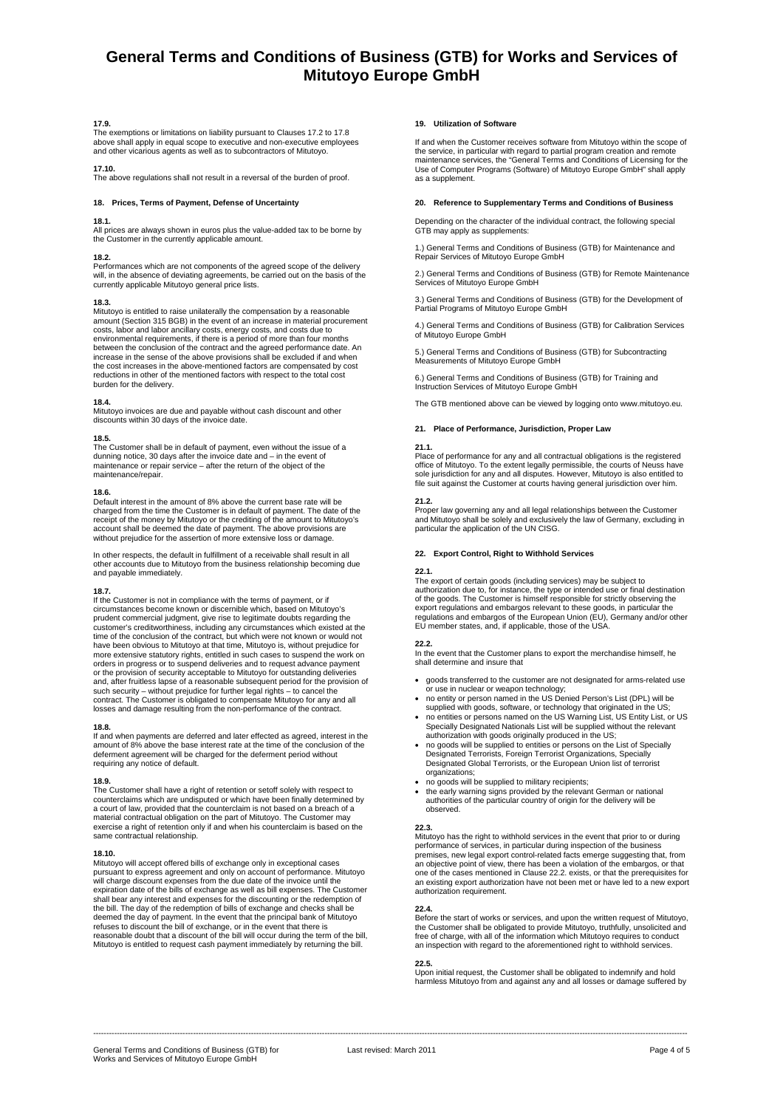## **17.9.**

The exemptions or limitations on liability pursuant to Clauses 17.2 to 17.8 above shall apply in equal scope to executive and non-executive employees and other vicarious agents as well as to subcontractors of Mitutoyo.

## **17.10.**

The above regulations shall not result in a reversal of the burden of proof.

## **18. Prices, Terms of Payment, Defense of Uncertainty**

## **18.1.**

All prices are always shown in euros plus the value-added tax to be borne by the Customer in the currently applicable amount.

**18.2.**  Performances which are not components of the agreed scope of the delivery will, in the absence of deviating agreements, be carried out on the basis of the currently applicable Mitutoyo general price lists.

### **18.3.**

Mitutoyo is entitled to raise unilaterally the compensation by a reasonable amount (Section 315 BGB) in the event of an increase in material procurement costs, labor and labor ancillary costs, energy costs, and costs due to environmental requirements, if there is a period of more than four months between the conclusion of the contract and the agreed performance date. An increase in the sense of the above provisions shall be excluded if and when the cost increases in the above-mentioned factors are compensated by cost reductions in other of the mentioned factors with respect to the total cost burden for the delivery.

## **18.4.**

Mitutoyo invoices are due and payable without cash discount and other discounts within 30 days of the invoice date.

## **18.5.**

The Customer shall be in default of payment, even without the issue of a dunning notice, 30 days after the invoice date and – in the event of maintenance or repair service – after the return of the object of the maintenance/repair.

## **18.6.**

Default interest in the amount of 8% above the current base rate will be charged from the time the Customer is in default of payment. The date of the<br>receipt of the money by Mitutoyo or the crediting of the amount to Mitutoyo's<br>account shall be deemed the date of payment. The above provisions a without prejudice for the assertion of more extensive loss or damage.

In other respects, the default in fulfillment of a receivable shall result in all other accounts due to Mitutoyo from the business relationship becoming due and payable immediately.

### **18.7.**

If the Customer is not in compliance with the terms of payment, or if circumstances become known or discernible which, based on Mitutoyo's prudent commercial judgment, give rise to legitimate doubts regarding the customer's creditworthiness, including any circumstances which existed at the time of the conclusion of the contract, but which were not known or would not have been obvious to Mitutoyo at that time, Mitutoyo is, without prejudice for more extensive statutory rights, entitled in such cases to suspend the work on orders in progress or to suspend deliveries and to request advance payment or the provision of security acceptable to Mitutoyo for outstanding deliveries and, after fruitless lapse of a reasonable subsequent period for the provision of<br>such security – without prejudice for further legal rights – to cancel the<br>contract. The Customer is obligated to compensate Mitutoyo for an losses and damage resulting from the non-performance of the contract.

### **18.8.**

If and when payments are deferred and later effected as agreed, interest in the amount of 8% above the base interest rate at the time of the conclusion of the deferment agreement will be charged for the deferment period without requiring any notice of default.

### **18.9.**

The Customer shall have a right of retention or setoff solely with respect to counterclaims which are undisputed or which have been finally determined by a court of law, provided that the counterclaim is not based on a breach of a material contractual obligation on the part of Mitutoyo. The Customer may exercise a right of retention only if and when his counterclaim is based on the same contractual relationship.

### **18.10.**

Mitutoyo will accept offered bills of exchange only in exceptional cases pursuant to express agreement and only on account of performance. Mitutoyo will charge discount expenses from the due date of the invoice until the<br>expiration date of the bills of exchange as well as bill expenses. The Customer<br>shall bear any interest and expenses for the discounting or the redem deemed the day of payment. In the event that the principal bank of Mitutoyo<br>refuses to discount the bill of exchange, or in the event that there is<br>reasonable doubt that a discount of the bill will occur during the term of Mitutoyo is entitled to request cash payment immediately by returning the bill.

### **19. Utilization of Software**

If and when the Customer receives software from Mitutoyo within the scope of the service, in particular with regard to partial program creation and remote maintenance services, the "General Terms and Conditions of Licensing for the Use of Computer Programs (Software) of Mitutoyo Europe GmbH" shall apply as a supplement.

### **20. Reference to Supplementary Terms and Conditions of Business**

Depending on the character of the individual contract, the following special GTB may apply as supplements:

1.) General Terms and Conditions of Business (GTB) for Maintenance and Repair Services of Mitutoyo Europe GmbH

2.) General Terms and Conditions of Business (GTB) for Remote Maintenance Services of Mitutoyo Europe GmbH

3.) General Terms and Conditions of Business (GTB) for the Development of Partial Programs of Mitutoyo Europe GmbH

4.) General Terms and Conditions of Business (GTB) for Calibration Services of Mitutoyo Europe GmbH

5.) General Terms and Conditions of Business (GTB) for Subcontracting Measurements of Mitutoyo Europe GmbH

6.) General Terms and Conditions of Business (GTB) for Training and Instruction Services of Mitutoyo Europe GmbH

The GTB mentioned above can be viewed by logging onto www.mitutoyo.eu.

## **21. Place of Performance, Jurisdiction, Proper Law**

### **21.1.**

Place of performance for any and all contractual obligations is the registered office of Mitutoyo. To the extent legally permissible, the courts of Neuss have sole jurisdiction for any and all disputes. However, Mitutoyo is also entitled to file suit against the Customer at courts having general jurisdiction over him.

**21.2.**  Proper law governing any and all legal relationships between the Customer and Mitutoyo shall be solely and exclusively the law of Germany, excluding in particular the application of the UN CISG.

## **22. Export Control, Right to Withhold Services**

### **22.1.**

The export of certain goods (including services) may be subject to<br>authorization due to, for instance, the type or intended use or final destination<br>of the goods. The Customer is himself responsible for strictly observing export regulations and embargos relevant to these goods, in particular the regulations and embargos of the European Union (EU), Germany and/or other EU member states, and, if applicable, those of the USA.

#### **22.2.**  In the event that the Customer plans to export the merchandise himself, he shall determine and insure that

- goods transferred to the customer are not designated for arms-related use
- or use in nuclear or weapon technology; no entity or person named in the US Denied Person's List (DPL) will be
- supplied with goods, software, or technology that originated in the US; no entities or persons named on the US Warning List, US Entity List, or US Specially Designated Nationals List will be supplied without the relevant authorization with goods originally produced in the US;
- no goods will be supplied to entities or persons on the List of Specially Designated Terrorists, Foreign Terrorist Organizations, Specially Designated Global Terrorists, or the European Union list of terrorist organizations;
- no goods will be supplied to military recipients;
- the early warning signs provided by the relevant German or national authorities of the particular country of origin for the delivery will be observed.

### **22.3.**

Mitutoyo has the right to withhold services in the event that prior to or during performance of services, in particular during inspection of the business premises, new legal export control-related facts emerge suggesting that, from an objective point of view, there has been a violation of the embargos, or that one of the cases mentioned in Clause 22.2. exists, or that the prerequisites for an existing export authorization have not been met or have led to a new export authorization requirement.

**22.4.**  Before the start of works or services, and upon the written request of Mitutoyo, the Customer shall be obligated to provide Mitutoyo, truthfully, unsolicited and<br>free of charge, with all of the information which Mitutoyo requires to conduct<br>an inspection with regard to the aforementioned right to withh

### **22.5.**

Upon initial request, the Customer shall be obligated to indemnify and hold harmless Mitutoyo from and against any and all losses or damage suffered by